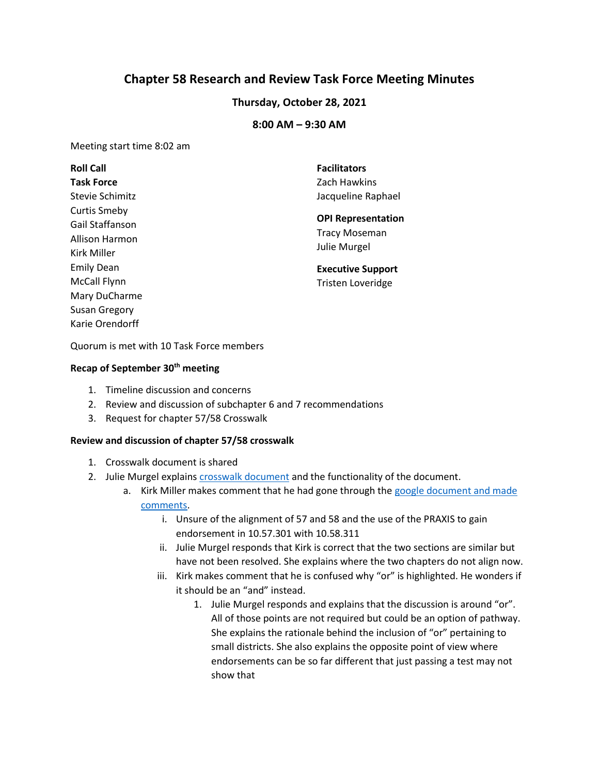# **Chapter 58 Research and Review Task Force Meeting Minutes**

# **Thursday, October 28, 2021**

# **8:00 AM – 9:30 AM**

Meeting start time 8:02 am

| <b>Roll Call</b>     | <b>Facilitators</b>       |
|----------------------|---------------------------|
| <b>Task Force</b>    | Zach Hawkins              |
| Stevie Schimitz      | Jacqueline Raphael        |
| <b>Curtis Smeby</b>  |                           |
| Gail Staffanson      | <b>OPI Representation</b> |
| Allison Harmon       | <b>Tracy Moseman</b>      |
| Kirk Miller          | Julie Murgel              |
| <b>Emily Dean</b>    | <b>Executive Support</b>  |
| McCall Flynn         | Tristen Loveridge         |
| Mary DuCharme        |                           |
| <b>Susan Gregory</b> |                           |
| Karie Orendorff      |                           |

Quorum is met with 10 Task Force members

## **Recap of September 30th meeting**

- 1. Timeline discussion and concerns
- 2. Review and discussion of subchapter 6 and 7 recommendations
- 3. Request for chapter 57/58 Crosswalk

## **Review and discussion of chapter 57/58 crosswalk**

- 1. Crosswalk document is shared
- 2. Julie Murgel explains [crosswalk document](https://docs.google.com/document/d/1lO-Zxo7Ibu8URd50q4Pxjvy9sHe_0Gdt/edit?usp=sharing&ouid=103980653118195900680&rtpof=true&sd=true) and the functionality of the document.
	- a. Kirk Miller makes comment that he had gone through the google document and made [comments.](https://docs.google.com/document/d/1DLhJjw_IDE_xtHHZ9fXy3ez8kGfSPgyiDtbnc_Lj7DQ/edit)
		- i. Unsure of the alignment of 57 and 58 and the use of the PRAXIS to gain endorsement in 10.57.301 with 10.58.311
		- ii. Julie Murgel responds that Kirk is correct that the two sections are similar but have not been resolved. She explains where the two chapters do not align now.
		- iii. Kirk makes comment that he is confused why "or" is highlighted. He wonders if it should be an "and" instead.
			- 1. Julie Murgel responds and explains that the discussion is around "or". All of those points are not required but could be an option of pathway. She explains the rationale behind the inclusion of "or" pertaining to small districts. She also explains the opposite point of view where endorsements can be so far different that just passing a test may not show that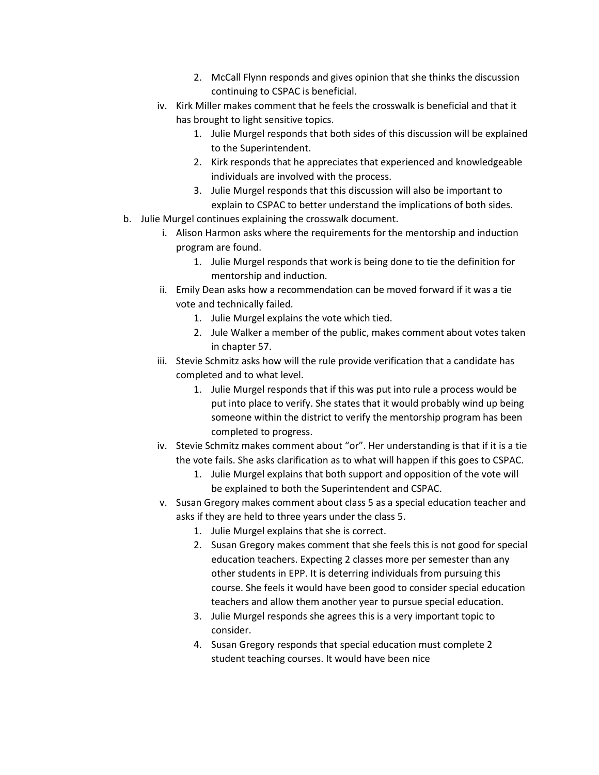- 2. McCall Flynn responds and gives opinion that she thinks the discussion continuing to CSPAC is beneficial.
- iv. Kirk Miller makes comment that he feels the crosswalk is beneficial and that it has brought to light sensitive topics.
	- 1. Julie Murgel responds that both sides of this discussion will be explained to the Superintendent.
	- 2. Kirk responds that he appreciates that experienced and knowledgeable individuals are involved with the process.
	- 3. Julie Murgel responds that this discussion will also be important to explain to CSPAC to better understand the implications of both sides.
- b. Julie Murgel continues explaining the crosswalk document.
	- i. Alison Harmon asks where the requirements for the mentorship and induction program are found.
		- 1. Julie Murgel responds that work is being done to tie the definition for mentorship and induction.
	- ii. Emily Dean asks how a recommendation can be moved forward if it was a tie vote and technically failed.
		- 1. Julie Murgel explains the vote which tied.
		- 2. Jule Walker a member of the public, makes comment about votes taken in chapter 57.
	- iii. Stevie Schmitz asks how will the rule provide verification that a candidate has completed and to what level.
		- 1. Julie Murgel responds that if this was put into rule a process would be put into place to verify. She states that it would probably wind up being someone within the district to verify the mentorship program has been completed to progress.
	- iv. Stevie Schmitz makes comment about "or". Her understanding is that if it is a tie the vote fails. She asks clarification as to what will happen if this goes to CSPAC.
		- 1. Julie Murgel explains that both support and opposition of the vote will be explained to both the Superintendent and CSPAC.
	- v. Susan Gregory makes comment about class 5 as a special education teacher and asks if they are held to three years under the class 5.
		- 1. Julie Murgel explains that she is correct.
		- 2. Susan Gregory makes comment that she feels this is not good for special education teachers. Expecting 2 classes more per semester than any other students in EPP. It is deterring individuals from pursuing this course. She feels it would have been good to consider special education teachers and allow them another year to pursue special education.
		- 3. Julie Murgel responds she agrees this is a very important topic to consider.
		- 4. Susan Gregory responds that special education must complete 2 student teaching courses. It would have been nice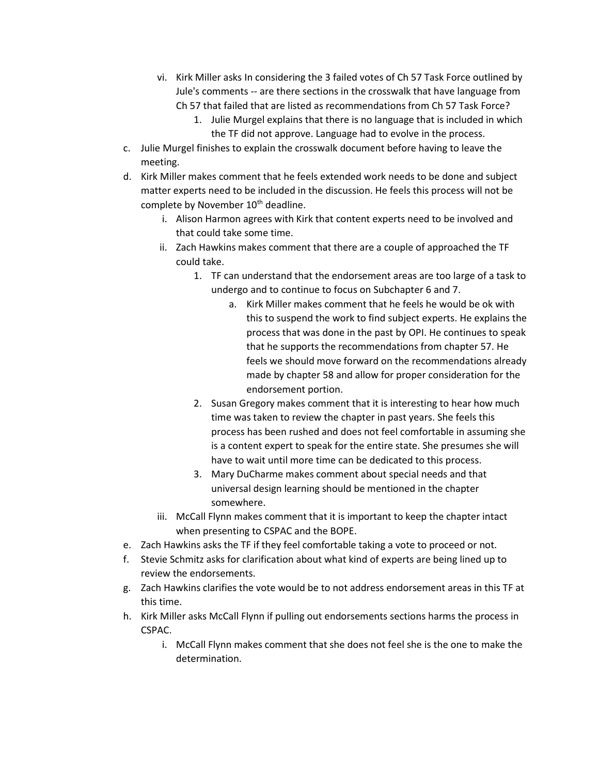- vi. Kirk Miller asks In considering the 3 failed votes of Ch 57 Task Force outlined by Jule's comments -- are there sections in the crosswalk that have language from Ch 57 that failed that are listed as recommendations from Ch 57 Task Force?
	- 1. Julie Murgel explains that there is no language that is included in which the TF did not approve. Language had to evolve in the process.
- c. Julie Murgel finishes to explain the crosswalk document before having to leave the meeting.
- d. Kirk Miller makes comment that he feels extended work needs to be done and subject matter experts need to be included in the discussion. He feels this process will not be complete by November 10<sup>th</sup> deadline.
	- i. Alison Harmon agrees with Kirk that content experts need to be involved and that could take some time.
	- ii. Zach Hawkins makes comment that there are a couple of approached the TF could take.
		- 1. TF can understand that the endorsement areas are too large of a task to undergo and to continue to focus on Subchapter 6 and 7.
			- a. Kirk Miller makes comment that he feels he would be ok with this to suspend the work to find subject experts. He explains the process that was done in the past by OPI. He continues to speak that he supports the recommendations from chapter 57. He feels we should move forward on the recommendations already made by chapter 58 and allow for proper consideration for the endorsement portion.
		- 2. Susan Gregory makes comment that it is interesting to hear how much time was taken to review the chapter in past years. She feels this process has been rushed and does not feel comfortable in assuming she is a content expert to speak for the entire state. She presumes she will have to wait until more time can be dedicated to this process.
		- 3. Mary DuCharme makes comment about special needs and that universal design learning should be mentioned in the chapter somewhere.
	- iii. McCall Flynn makes comment that it is important to keep the chapter intact when presenting to CSPAC and the BOPE.
- e. Zach Hawkins asks the TF if they feel comfortable taking a vote to proceed or not.
- f. Stevie Schmitz asks for clarification about what kind of experts are being lined up to review the endorsements.
- g. Zach Hawkins clarifies the vote would be to not address endorsement areas in this TF at this time.
- h. Kirk Miller asks McCall Flynn if pulling out endorsements sections harms the process in CSPAC.
	- i. McCall Flynn makes comment that she does not feel she is the one to make the determination.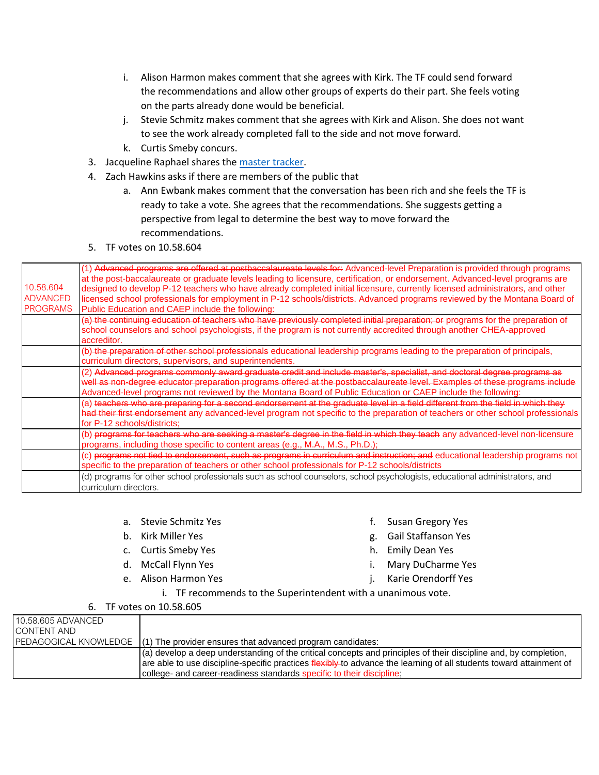- i. Alison Harmon makes comment that she agrees with Kirk. The TF could send forward the recommendations and allow other groups of experts do their part. She feels voting on the parts already done would be beneficial.
- j. Stevie Schmitz makes comment that she agrees with Kirk and Alison. She does not want to see the work already completed fall to the side and not move forward.
- k. Curtis Smeby concurs.
- 3. Jacqueline Raphael shares th[e master tracker.](https://docs.google.com/spreadsheets/d/1EtHSL7juIWfxtheJzNZoD7wt_Q1HnhtC/edit?usp=sharing&ouid=103980653118195900680&rtpof=true&sd=true)
- 4. Zach Hawkins asks if there are members of the public that
	- a. Ann Ewbank makes comment that the conversation has been rich and she feels the TF is ready to take a vote. She agrees that the recommendations. She suggests getting a perspective from legal to determine the best way to move forward the recommendations.
- 5. TF votes on 10.58.604

| 10.58.604<br><b>ADVANCED</b><br><b>PROGRAMS</b> | (1) Advanced programs are offered at postbaccalaureate levels for: Advanced-level Preparation is provided through programs<br>at the post-baccalaureate or graduate levels leading to licensure, certification, or endorsement. Advanced-level programs are<br>designed to develop P-12 teachers who have already completed initial licensure, currently licensed administrators, and other<br>licensed school professionals for employment in P-12 schools/districts. Advanced programs reviewed by the Montana Board of<br>Public Education and CAEP include the following: |
|-------------------------------------------------|-------------------------------------------------------------------------------------------------------------------------------------------------------------------------------------------------------------------------------------------------------------------------------------------------------------------------------------------------------------------------------------------------------------------------------------------------------------------------------------------------------------------------------------------------------------------------------|
|                                                 | (a) the continuing education of teachers who have previously completed initial preparation; or programs for the preparation of<br>school counselors and school psychologists, if the program is not currently accredited through another CHEA-approved<br>accreditor.                                                                                                                                                                                                                                                                                                         |
|                                                 | (b) the preparation of other school professionals educational leadership programs leading to the preparation of principals,<br>curriculum directors, supervisors, and superintendents.                                                                                                                                                                                                                                                                                                                                                                                        |
|                                                 | (2) Advanced programs commonly award graduate credit and include master's, specialist, and doctoral degree programs as<br>well as non-degree educator preparation programs offered at the postbaccalaureate level. Examples of these programs include<br>Advanced-level programs not reviewed by the Montana Board of Public Education or CAEP include the following:                                                                                                                                                                                                         |
|                                                 | (a) teachers who are preparing for a second endorsement at the graduate level in a field different from the field in which they<br>had their first endorsement any advanced-level program not specific to the preparation of teachers or other school professionals<br>for P-12 schools/districts:                                                                                                                                                                                                                                                                            |
|                                                 | (b) programs for teachers who are seeking a master's degree in the field in which they teach any advanced-level non-licensure<br>programs, including those specific to content areas (e.g., M.A., M.S., Ph.D.);                                                                                                                                                                                                                                                                                                                                                               |
|                                                 | (c) programs not tied to endorsement, such as programs in curriculum and instruction; and educational leadership programs not<br>specific to the preparation of teachers or other school professionals for P-12 schools/districts                                                                                                                                                                                                                                                                                                                                             |
|                                                 | (d) programs for other school professionals such as school counselors, school psychologists, educational administrators, and<br>curriculum directors.                                                                                                                                                                                                                                                                                                                                                                                                                         |

- a. Stevie Schmitz Yes
- b. Kirk Miller Yes
- c. Curtis Smeby Yes
- d. McCall Flynn Yes
- e. Alison Harmon Yes
- f. Susan Gregory Yes
- g. Gail Staffanson Yes
- h. Emily Dean Yes
- i. Mary DuCharme Yes
- j. Karie Orendorff Yes

i. TF recommends to the Superintendent with a unanimous vote.

6. TF votes on 10.58.605

| 10.58.605 ADVANCED |                                                                                                                                                                                                                                                                                                                    |
|--------------------|--------------------------------------------------------------------------------------------------------------------------------------------------------------------------------------------------------------------------------------------------------------------------------------------------------------------|
| CONTENT AND        |                                                                                                                                                                                                                                                                                                                    |
|                    | PEDAGOGICAL KNOWLEDGE (1) The provider ensures that advanced program candidates:                                                                                                                                                                                                                                   |
|                    | $(a)$ develop a deep understanding of the critical concepts and principles of their discipline and, by completion,<br>are able to use discipline-specific practices flexibly-to advance the learning of all students toward attainment of<br>college- and career-readiness standards specific to their discipline: |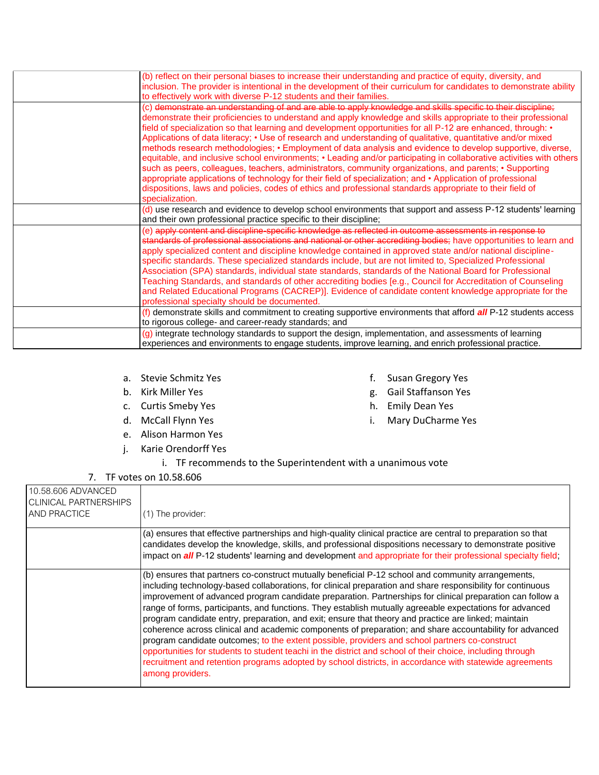| (b) reflect on their personal biases to increase their understanding and practice of equity, diversity, and<br>inclusion. The provider is intentional in the development of their curriculum for candidates to demonstrate ability<br>to effectively work with diverse P-12 students and their families.                                                                                                                                                                                                                                                                                                                                                                                                                                                                                                                                                                                                                                                                                                                                    |
|---------------------------------------------------------------------------------------------------------------------------------------------------------------------------------------------------------------------------------------------------------------------------------------------------------------------------------------------------------------------------------------------------------------------------------------------------------------------------------------------------------------------------------------------------------------------------------------------------------------------------------------------------------------------------------------------------------------------------------------------------------------------------------------------------------------------------------------------------------------------------------------------------------------------------------------------------------------------------------------------------------------------------------------------|
| (c) demonstrate an understanding of and are able to apply knowledge and skills specific to their discipline;<br>demonstrate their proficiencies to understand and apply knowledge and skills appropriate to their professional<br>field of specialization so that learning and development opportunities for all P-12 are enhanced, through: •<br>Applications of data literacy; • Use of research and understanding of qualitative, quantitative and/or mixed<br>methods research methodologies; • Employment of data analysis and evidence to develop supportive, diverse,<br>equitable, and inclusive school environments; • Leading and/or participating in collaborative activities with others<br>such as peers, colleagues, teachers, administrators, community organizations, and parents; • Supporting<br>appropriate applications of technology for their field of specialization; and • Application of professional<br>dispositions, laws and policies, codes of ethics and professional standards appropriate to their field of |
| specialization.<br>(d) use research and evidence to develop school environments that support and assess P-12 students' learning<br>and their own professional practice specific to their discipline;                                                                                                                                                                                                                                                                                                                                                                                                                                                                                                                                                                                                                                                                                                                                                                                                                                        |
| (e) apply content and discipline-specific knowledge as reflected in outcome assessments in response to<br>standards of professional associations and national or other accrediting bodies; have opportunities to learn and<br>apply specialized content and discipline knowledge contained in approved state and/or national discipline-<br>specific standards. These specialized standards include, but are not limited to, Specialized Professional<br>Association (SPA) standards, individual state standards, standards of the National Board for Professional<br>Teaching Standards, and standards of other accrediting bodies [e.g., Council for Accreditation of Counseling<br>and Related Educational Programs (CACREP)]. Evidence of candidate content knowledge appropriate for the<br>professional specialty should be documented.                                                                                                                                                                                               |
| (f) demonstrate skills and commitment to creating supportive environments that afford <i>all</i> P-12 students access<br>to rigorous college- and career-ready standards; and                                                                                                                                                                                                                                                                                                                                                                                                                                                                                                                                                                                                                                                                                                                                                                                                                                                               |
| (g) integrate technology standards to support the design, implementation, and assessments of learning<br>experiences and environments to engage students, improve learning, and enrich professional practice.                                                                                                                                                                                                                                                                                                                                                                                                                                                                                                                                                                                                                                                                                                                                                                                                                               |

- a. Stevie Schmitz Yes
- b. Kirk Miller Yes
- c. Curtis Smeby Yes
- d. McCall Flynn Yes
- e. Alison Harmon Yes
- j. Karie Orendorff Yes
- f. Susan Gregory Yes
- g. Gail Staffanson Yes
- h. Emily Dean Yes
- i. Mary DuCharme Yes
- i. TF recommends to the Superintendent with a unanimous vote
- 7. TF votes on 10.58.606

| 10.58.606 ADVANCED<br><b>CLINICAL PARTNERSHIPS</b> |                                                                                                                                                                                                                                                                                                                                                                                                                                                                                                                                                                                                                                                                                                                                                                                                                                                                                                                                                                                                              |
|----------------------------------------------------|--------------------------------------------------------------------------------------------------------------------------------------------------------------------------------------------------------------------------------------------------------------------------------------------------------------------------------------------------------------------------------------------------------------------------------------------------------------------------------------------------------------------------------------------------------------------------------------------------------------------------------------------------------------------------------------------------------------------------------------------------------------------------------------------------------------------------------------------------------------------------------------------------------------------------------------------------------------------------------------------------------------|
| <b>AND PRACTICE</b>                                | (1) The provider:                                                                                                                                                                                                                                                                                                                                                                                                                                                                                                                                                                                                                                                                                                                                                                                                                                                                                                                                                                                            |
|                                                    | (a) ensures that effective partnerships and high-quality clinical practice are central to preparation so that<br>candidates develop the knowledge, skills, and professional dispositions necessary to demonstrate positive<br>impact on all P-12 students' learning and development and appropriate for their professional specialty field;                                                                                                                                                                                                                                                                                                                                                                                                                                                                                                                                                                                                                                                                  |
|                                                    | (b) ensures that partners co-construct mutually beneficial P-12 school and community arrangements,<br>including technology-based collaborations, for clinical preparation and share responsibility for continuous<br>improvement of advanced program candidate preparation. Partnerships for clinical preparation can follow a<br>range of forms, participants, and functions. They establish mutually agreeable expectations for advanced<br>program candidate entry, preparation, and exit; ensure that theory and practice are linked; maintain<br>coherence across clinical and academic components of preparation; and share accountability for advanced<br>program candidate outcomes; to the extent possible, providers and school partners co-construct<br>opportunities for students to student teachi in the district and school of their choice, including through<br>recruitment and retention programs adopted by school districts, in accordance with statewide agreements<br>among providers. |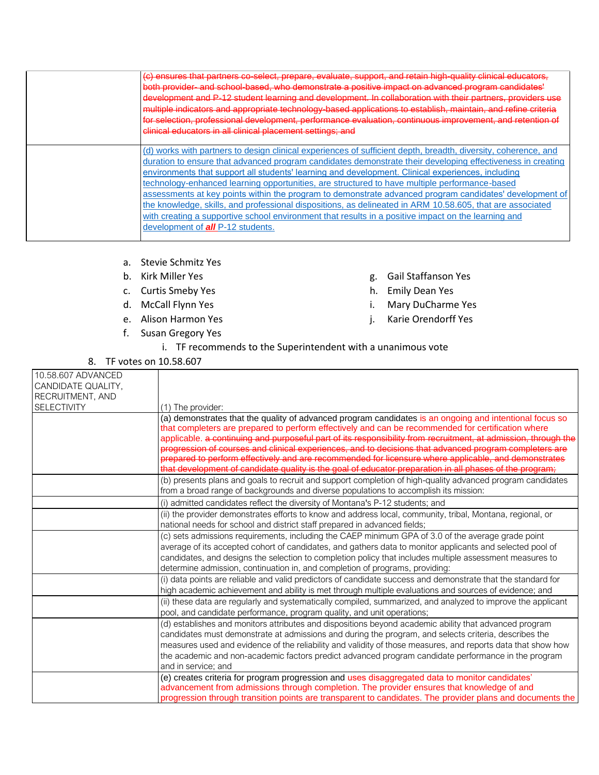| ensures that partners co-select, prepare, evaluate, support, and retain high-quality clinical educators.<br>both provider- and school-based, who demonstrate a positive impact on advanced program candidates' |
|----------------------------------------------------------------------------------------------------------------------------------------------------------------------------------------------------------------|
| development and P-12 student learning and development. In collaboration with their partners, providers use                                                                                                     |
| multiple indicators and appropriate technology based applications to establish, maintain, and refine criteria                                                                                                  |
| for selection, professional development, performance evaluation, continuous improvement, and ret                                                                                                               |
| clinical educators in all clinical placement settings; and                                                                                                                                                     |
|                                                                                                                                                                                                                |
| (d) works with partners to design clinical experiences of sufficient depth, breadth, diversity, coherence, and                                                                                                 |
| duration to ensure that advanced program candidates demonstrate their developing effectiveness in creating                                                                                                     |
| environments that support all students' learning and development. Clinical experiences, including                                                                                                              |
| technology-enhanced learning opportunities, are structured to have multiple performance-based                                                                                                                  |
| assessments at key points within the program to demonstrate advanced program candidates' development of                                                                                                        |
| the knowledge, skills, and professional dispositions, as delineated in ARM 10.58.605, that are associated                                                                                                      |
| with creating a supportive school environment that results in a positive impact on the learning and                                                                                                            |
| development of <b>all</b> P-12 students.                                                                                                                                                                       |
|                                                                                                                                                                                                                |

- a. Stevie Schmitz Yes
- b. Kirk Miller Yes
- c. Curtis Smeby Yes
- d. McCall Flynn Yes
- e. Alison Harmon Yes
- f. Susan Gregory Yes
- g. Gail Staffanson Yes
- h. Emily Dean Yes
- i. Mary DuCharme Yes
- j. Karie Orendorff Yes
- i. TF recommends to the Superintendent with a unanimous vote

| 8. TF votes on 10.58.607 |                                                                                                                                                                                                                                                                                                                                                                                                                                                               |
|--------------------------|---------------------------------------------------------------------------------------------------------------------------------------------------------------------------------------------------------------------------------------------------------------------------------------------------------------------------------------------------------------------------------------------------------------------------------------------------------------|
| 10.58.607 ADVANCED       |                                                                                                                                                                                                                                                                                                                                                                                                                                                               |
| CANDIDATE QUALITY,       |                                                                                                                                                                                                                                                                                                                                                                                                                                                               |
| RECRUITMENT, AND         |                                                                                                                                                                                                                                                                                                                                                                                                                                                               |
| <b>SELECTIVITY</b>       | (1) The provider:                                                                                                                                                                                                                                                                                                                                                                                                                                             |
|                          | (a) demonstrates that the quality of advanced program candidates is an ongoing and intentional focus so<br>that completers are prepared to perform effectively and can be recommended for certification where<br>applicable. a continuing and purposeful part of its responsibility from recruitment, at admission, through the<br>progression of courses and clinical experiences, and to decisions that advanced program completers are                     |
|                          | prepared to perform effectively and are recommended for licensure where applicable, and demonstrates                                                                                                                                                                                                                                                                                                                                                          |
|                          | that development of candidate quality is the goal of educator preparation in all phases of the program:                                                                                                                                                                                                                                                                                                                                                       |
|                          | (b) presents plans and goals to recruit and support completion of high-quality advanced program candidates<br>from a broad range of backgrounds and diverse populations to accomplish its mission:                                                                                                                                                                                                                                                            |
|                          | (i) admitted candidates reflect the diversity of Montana's P-12 students; and                                                                                                                                                                                                                                                                                                                                                                                 |
|                          | (ii) the provider demonstrates efforts to know and address local, community, tribal, Montana, regional, or<br>national needs for school and district staff prepared in advanced fields;                                                                                                                                                                                                                                                                       |
|                          | (c) sets admissions requirements, including the CAEP minimum GPA of 3.0 of the average grade point<br>average of its accepted cohort of candidates, and gathers data to monitor applicants and selected pool of<br>candidates, and designs the selection to completion policy that includes multiple assessment measures to<br>determine admission, continuation in, and completion of programs, providing:                                                   |
|                          | (i) data points are reliable and valid predictors of candidate success and demonstrate that the standard for<br>high academic achievement and ability is met through multiple evaluations and sources of evidence; and                                                                                                                                                                                                                                        |
|                          | (ii) these data are regularly and systematically compiled, summarized, and analyzed to improve the applicant<br>pool, and candidate performance, program quality, and unit operations;                                                                                                                                                                                                                                                                        |
|                          | (d) establishes and monitors attributes and dispositions beyond academic ability that advanced program<br>candidates must demonstrate at admissions and during the program, and selects criteria, describes the<br>measures used and evidence of the reliability and validity of those measures, and reports data that show how<br>the academic and non-academic factors predict advanced program candidate performance in the program<br>and in service; and |
|                          | (e) creates criteria for program progression and uses disaggregated data to monitor candidates'<br>advancement from admissions through completion. The provider ensures that knowledge of and<br>progression through transition points are transparent to candidates. The provider plans and documents the                                                                                                                                                    |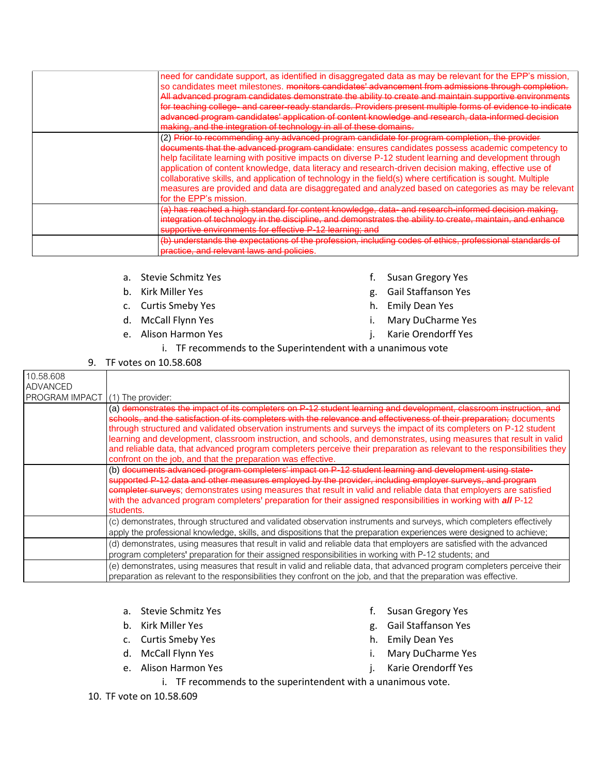| need for candidate support, as identified in disaggregated data as may be relevant for the EPP's mission,<br>so candidates meet milestones. monitors candidates' advancement from admissions through completion.<br>All advanced program candidates demonstrate the ability to create and maintain supportive environments<br>for teaching college- and career-ready standards. Providers present multiple forms of evidence to indicate<br>advanced program candidates' application of content knowledge and research, data-informed decision<br>making, and the integration of technology in all of these domains.                                                   |
|------------------------------------------------------------------------------------------------------------------------------------------------------------------------------------------------------------------------------------------------------------------------------------------------------------------------------------------------------------------------------------------------------------------------------------------------------------------------------------------------------------------------------------------------------------------------------------------------------------------------------------------------------------------------|
| (2) Prior to recommending any advanced program candidate for program completion, the provider<br>documents that the advanced program candidate: ensures candidates possess academic competency to<br>help facilitate learning with positive impacts on diverse P-12 student learning and development through<br>application of content knowledge, data literacy and research-driven decision making, effective use of<br>collaborative skills, and application of technology in the field(s) where certification is sought. Multiple<br>measures are provided and data are disaggregated and analyzed based on categories as may be relevant<br>for the EPP's mission. |
| (a) has reached a high standard for content knowledge, data- and research-informed decision making,<br>integration of technology in the discipline, and demonstrates the ability to create, maintain, and enhance<br>supportive environments for effective P-12 learning; and                                                                                                                                                                                                                                                                                                                                                                                          |
| <u>the expectations of the profession, including codes of ethics, professional stand:</u><br>practice, and relevant laws and policies.                                                                                                                                                                                                                                                                                                                                                                                                                                                                                                                                 |

- a. Stevie Schmitz Yes
- b. Kirk Miller Yes
- c. Curtis Smeby Yes
- d. McCall Flynn Yes
- e. Alison Harmon Yes
- f. Susan Gregory Yes
- g. Gail Staffanson Yes
- h. Emily Dean Yes
- i. Mary DuCharme Yes
- j. Karie Orendorff Yes
- i. TF recommends to the Superintendent with a unanimous vote

## 9. TF votes on 10.58.608

| 10.58.608<br>ADVANCED            |                                                                                                                                                                                                                                                                                                                                                                                                                                                                                                                                                                                                                                                                                   |
|----------------------------------|-----------------------------------------------------------------------------------------------------------------------------------------------------------------------------------------------------------------------------------------------------------------------------------------------------------------------------------------------------------------------------------------------------------------------------------------------------------------------------------------------------------------------------------------------------------------------------------------------------------------------------------------------------------------------------------|
| PROGRAM IMPACT (1) The provider: |                                                                                                                                                                                                                                                                                                                                                                                                                                                                                                                                                                                                                                                                                   |
|                                  | (a) demonstrates the impact of its completers on P-12 student learning and development, classroom instruction, and<br>schools, and the satisfaction of its completers with the relevance and effectiveness of their preparation; documents<br>through structured and validated observation instruments and surveys the impact of its completers on P-12 student<br>learning and development, classroom instruction, and schools, and demonstrates, using measures that result in valid<br>and reliable data, that advanced program completers perceive their preparation as relevant to the responsibilities they<br>confront on the job, and that the preparation was effective. |
|                                  | (b) documents advanced program completers' impact on P-12 student learning and development using state-<br>supported P-12 data and other measures employed by the provider, including employer surveys, and program<br>completer surveys; demonstrates using measures that result in valid and reliable data that employers are satisfied<br>with the advanced program completers' preparation for their assigned responsibilities in working with all P-12<br>students.                                                                                                                                                                                                          |
|                                  | (c) demonstrates, through structured and validated observation instruments and surveys, which completers effectively<br>apply the professional knowledge, skills, and dispositions that the preparation experiences were designed to achieve;                                                                                                                                                                                                                                                                                                                                                                                                                                     |
|                                  | (d) demonstrates, using measures that result in valid and reliable data that employers are satisfied with the advanced<br>program completers' preparation for their assigned responsibilities in working with P-12 students; and                                                                                                                                                                                                                                                                                                                                                                                                                                                  |
|                                  | (e) demonstrates, using measures that result in valid and reliable data, that advanced program completers perceive their<br>preparation as relevant to the responsibilities they confront on the job, and that the preparation was effective.                                                                                                                                                                                                                                                                                                                                                                                                                                     |

- a. Stevie Schmitz Yes
- b. Kirk Miller Yes
- c. Curtis Smeby Yes
- d. McCall Flynn Yes
- e. Alison Harmon Yes
- f. Susan Gregory Yes
- g. Gail Staffanson Yes
- h. Emily Dean Yes
- i. Mary DuCharme Yes
- j. Karie Orendorff Yes
- i. TF recommends to the superintendent with a unanimous vote.
- 10. TF vote on 10.58.609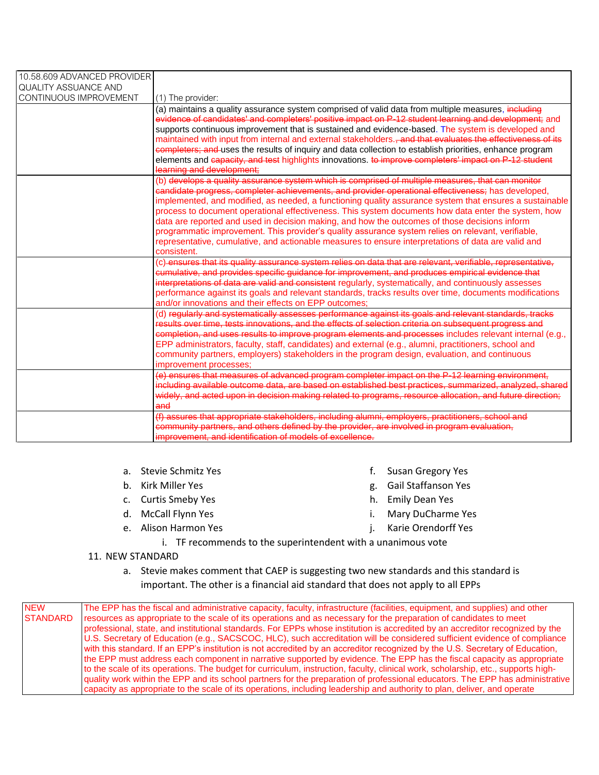| 10.58.609 ADVANCED PROVIDER |                                                                                                                                                                                                                                                                                                                                                                                                                                                                                                                                                                                                                                                                                                                                                        |
|-----------------------------|--------------------------------------------------------------------------------------------------------------------------------------------------------------------------------------------------------------------------------------------------------------------------------------------------------------------------------------------------------------------------------------------------------------------------------------------------------------------------------------------------------------------------------------------------------------------------------------------------------------------------------------------------------------------------------------------------------------------------------------------------------|
| QUALITY ASSUANCE AND        |                                                                                                                                                                                                                                                                                                                                                                                                                                                                                                                                                                                                                                                                                                                                                        |
| CONTINUOUS IMPROVEMENT      | (1) The provider:                                                                                                                                                                                                                                                                                                                                                                                                                                                                                                                                                                                                                                                                                                                                      |
|                             | (a) maintains a quality assurance system comprised of valid data from multiple measures, including<br>evidence of candidates' and completers' positive impact on P-12 student learning and development; and<br>supports continuous improvement that is sustained and evidence-based. The system is developed and<br>maintained with input from internal and external stakeholders., and that evaluates the effectiveness of its<br>completers; and uses the results of inquiry and data collection to establish priorities, enhance program<br>elements and capacity, and test highlights innovations. to improve completers' impact on P-12 student<br>learning and development;                                                                      |
|                             | (b) develops a quality assurance system which is comprised of multiple measures, that can monitor<br>candidate progress, completer achievements, and provider operational effectiveness; has developed,<br>implemented, and modified, as needed, a functioning quality assurance system that ensures a sustainable<br>process to document operational effectiveness. This system documents how data enter the system, how<br>data are reported and used in decision making, and how the outcomes of those decisions inform<br>programmatic improvement. This provider's quality assurance system relies on relevant, verifiable,<br>representative, cumulative, and actionable measures to ensure interpretations of data are valid and<br>consistent. |
|                             | (c) ensures that its quality assurance system relies on data that are relevant, verifiable, representative,<br>cumulative, and provides specific quidance for improvement, and produces empirical evidence that<br>interpretations of data are valid and consistent regularly, systematically, and continuously assesses<br>performance against its goals and relevant standards, tracks results over time, documents modifications<br>and/or innovations and their effects on EPP outcomes;                                                                                                                                                                                                                                                           |
|                             | (d) regularly and systematically assesses performance against its goals and relevant standards, tracks<br>results over time, tests innovations, and the effects of selection criteria on subsequent progress and<br>completion, and uses results to improve program elements and processes includes relevant internal (e.g.,<br>EPP administrators, faculty, staff, candidates) and external (e.g., alumni, practitioners, school and<br>community partners, employers) stakeholders in the program design, evaluation, and continuous<br>improvement processes;                                                                                                                                                                                       |
|                             | (e) ensures that measures of advanced program completer impact on the P-12 learning environment,<br>including available outcome data, are based on established best practices, summarized, analyzed, shared<br>widely, and acted upon in decision making related to programs, resource allocation, and future direction.<br>and                                                                                                                                                                                                                                                                                                                                                                                                                        |
|                             | (f) assures that appropriate stakeholders, including alumni, employers, practitioners, school and<br>community partners, and others defined by the provider, are involved in program evaluation,<br>improvement, and identification of models of excellence.                                                                                                                                                                                                                                                                                                                                                                                                                                                                                           |

- a. Stevie Schmitz Yes
- b. Kirk Miller Yes
- c. Curtis Smeby Yes
- d. McCall Flynn Yes
- e. Alison Harmon Yes
- f. Susan Gregory Yes
- g. Gail Staffanson Yes
- h. Emily Dean Yes
- i. Mary DuCharme Yes
- j. Karie Orendorff Yes

i. TF recommends to the superintendent with a unanimous vote

- 11. NEW STANDARD
	- a. Stevie makes comment that CAEP is suggesting two new standards and this standard is important. The other is a financial aid standard that does not apply to all EPPs

NEW **STANDARD** The EPP has the fiscal and administrative capacity, faculty, infrastructure (facilities, equipment, and supplies) and other resources as appropriate to the scale of its operations and as necessary for the preparation of candidates to meet professional, state, and institutional standards. For EPPs whose institution is accredited by an accreditor recognized by the U.S. Secretary of Education (e.g., SACSCOC, HLC), such accreditation will be considered sufficient evidence of compliance with this standard. If an EPP's institution is not accredited by an accreditor recognized by the U.S. Secretary of Education, the EPP must address each component in narrative supported by evidence. The EPP has the fiscal capacity as appropriate to the scale of its operations. The budget for curriculum, instruction, faculty, clinical work, scholarship, etc., supports highquality work within the EPP and its school partners for the preparation of professional educators. The EPP has administrative capacity as appropriate to the scale of its operations, including leadership and authority to plan, deliver, and operate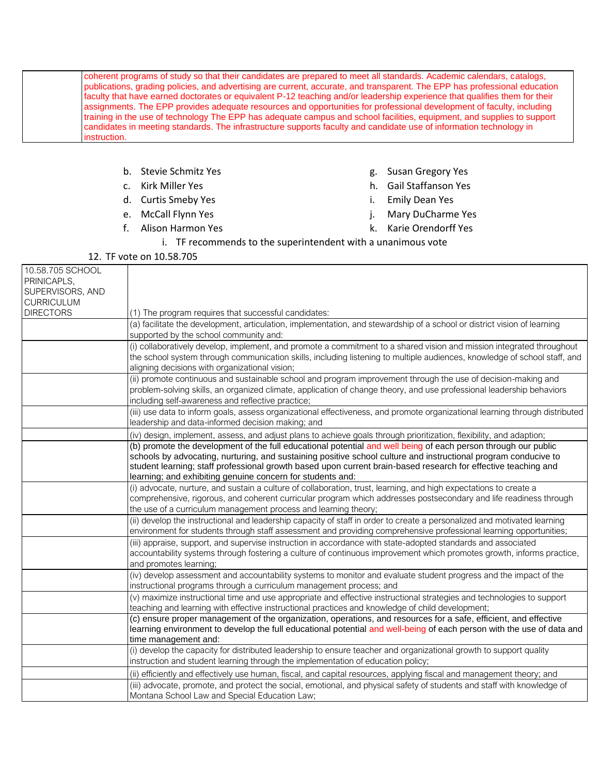coherent programs of study so that their candidates are prepared to meet all standards. Academic calendars, catalogs, publications, grading policies, and advertising are current, accurate, and transparent. The EPP has professional education faculty that have earned doctorates or equivalent P-12 teaching and/or leadership experience that qualifies them for their assignments. The EPP provides adequate resources and opportunities for professional development of faculty, including training in the use of technology The EPP has adequate campus and school facilities, equipment, and supplies to support candidates in meeting standards. The infrastructure supports faculty and candidate use of information technology in instruction.

b. Stevie Schmitz Yes

#### c. Kirk Miller Yes

- d. Curtis Smeby Yes
- e. McCall Flynn Yes
- f. Alison Harmon Yes
- g. Susan Gregory Yes
- h. Gail Staffanson Yes
- i. Emily Dean Yes
- j. Mary DuCharme Yes
- k. Karie Orendorff Yes

#### i. TF recommends to the superintendent with a unanimous vote

12. TF vote on 10.58.705

| 10.58.705 SCHOOL  |                                                                                                                              |
|-------------------|------------------------------------------------------------------------------------------------------------------------------|
| PRINICAPLS,       |                                                                                                                              |
| SUPERVISORS, AND  |                                                                                                                              |
| <b>CURRICULUM</b> |                                                                                                                              |
| <b>DIRECTORS</b>  | (1) The program requires that successful candidates:                                                                         |
|                   | (a) facilitate the development, articulation, implementation, and stewardship of a school or district vision of learning     |
|                   | supported by the school community and:                                                                                       |
|                   | (i) collaboratively develop, implement, and promote a commitment to a shared vision and mission integrated throughout        |
|                   | the school system through communication skills, including listening to multiple audiences, knowledge of school staff, and    |
|                   | aligning decisions with organizational vision;                                                                               |
|                   | (ii) promote continuous and sustainable school and program improvement through the use of decision-making and                |
|                   | problem-solving skills, an organized climate, application of change theory, and use professional leadership behaviors        |
|                   | including self-awareness and reflective practice;                                                                            |
|                   | (iii) use data to inform goals, assess organizational effectiveness, and promote organizational learning through distributed |
|                   | leadership and data-informed decision making; and                                                                            |
|                   | (iv) design, implement, assess, and adjust plans to achieve goals through prioritization, flexibility, and adaption;         |
|                   | (b) promote the development of the full educational potential and well being of each person through our public               |
|                   | schools by advocating, nurturing, and sustaining positive school culture and instructional program conducive to              |
|                   | student learning; staff professional growth based upon current brain-based research for effective teaching and               |
|                   | learning; and exhibiting genuine concern for students and:                                                                   |
|                   | (i) advocate, nurture, and sustain a culture of collaboration, trust, learning, and high expectations to create a            |
|                   | comprehensive, rigorous, and coherent curricular program which addresses postsecondary and life readiness through            |
|                   | the use of a curriculum management process and learning theory;                                                              |
|                   | (ii) develop the instructional and leadership capacity of staff in order to create a personalized and motivated learning     |
|                   | environment for students through staff assessment and providing comprehensive professional learning opportunities;           |
|                   | (iii) appraise, support, and supervise instruction in accordance with state-adopted standards and associated                 |
|                   | accountability systems through fostering a culture of continuous improvement which promotes growth, informs practice,        |
|                   | and promotes learning;                                                                                                       |
|                   | (iv) develop assessment and accountability systems to monitor and evaluate student progress and the impact of the            |
|                   | instructional programs through a curriculum management process; and                                                          |
|                   | (v) maximize instructional time and use appropriate and effective instructional strategies and technologies to support       |
|                   | teaching and learning with effective instructional practices and knowledge of child development;                             |
|                   | (c) ensure proper management of the organization, operations, and resources for a safe, efficient, and effective             |
|                   | learning environment to develop the full educational potential and well-being of each person with the use of data and        |
|                   | time management and:                                                                                                         |
|                   | (i) develop the capacity for distributed leadership to ensure teacher and organizational growth to support quality           |
|                   | instruction and student learning through the implementation of education policy;                                             |
|                   | (ii) efficiently and effectively use human, fiscal, and capital resources, applying fiscal and management theory; and        |
|                   | (iii) advocate, promote, and protect the social, emotional, and physical safety of students and staff with knowledge of      |
|                   | Montana School Law and Special Education Law;                                                                                |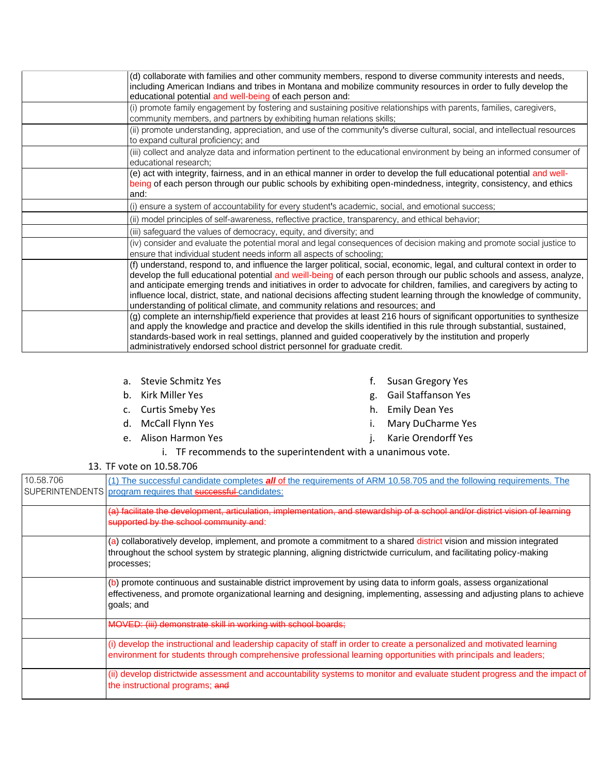| (d) collaborate with families and other community members, respond to diverse community interests and needs,<br>including American Indians and tribes in Montana and mobilize community resources in order to fully develop the<br>educational potential and well-being of each person and:                                                                                                                                                                                                                                                                                                |
|--------------------------------------------------------------------------------------------------------------------------------------------------------------------------------------------------------------------------------------------------------------------------------------------------------------------------------------------------------------------------------------------------------------------------------------------------------------------------------------------------------------------------------------------------------------------------------------------|
| (i) promote family engagement by fostering and sustaining positive relationships with parents, families, caregivers,<br>community members, and partners by exhibiting human relations skills;                                                                                                                                                                                                                                                                                                                                                                                              |
| (ii) promote understanding, appreciation, and use of the community's diverse cultural, social, and intellectual resources<br>to expand cultural proficiency; and                                                                                                                                                                                                                                                                                                                                                                                                                           |
| (iii) collect and analyze data and information pertinent to the educational environment by being an informed consumer of<br>educational research:                                                                                                                                                                                                                                                                                                                                                                                                                                          |
| (e) act with integrity, fairness, and in an ethical manner in order to develop the full educational potential and well-<br>being of each person through our public schools by exhibiting open-mindedness, integrity, consistency, and ethics<br>and:                                                                                                                                                                                                                                                                                                                                       |
| (i) ensure a system of accountability for every student's academic, social, and emotional success;                                                                                                                                                                                                                                                                                                                                                                                                                                                                                         |
| (ii) model principles of self-awareness, reflective practice, transparency, and ethical behavior;                                                                                                                                                                                                                                                                                                                                                                                                                                                                                          |
| (iii) safeguard the values of democracy, equity, and diversity; and                                                                                                                                                                                                                                                                                                                                                                                                                                                                                                                        |
| (iv) consider and evaluate the potential moral and legal consequences of decision making and promote social justice to<br>ensure that individual student needs inform all aspects of schooling;                                                                                                                                                                                                                                                                                                                                                                                            |
| (f) understand, respond to, and influence the larger political, social, economic, legal, and cultural context in order to<br>develop the full educational potential and weill-being of each person through our public schools and assess, analyze,<br>and anticipate emerging trends and initiatives in order to advocate for children, families, and caregivers by acting to<br>influence local, district, state, and national decisions affecting student learning through the knowledge of community,<br>understanding of political climate, and community relations and resources; and |
| (g) complete an internship/field experience that provides at least 216 hours of significant opportunities to synthesize<br>and apply the knowledge and practice and develop the skills identified in this rule through substantial, sustained,<br>standards-based work in real settings, planned and guided cooperatively by the institution and properly<br>administratively endorsed school district personnel for graduate credit.                                                                                                                                                      |

- a. Stevie Schmitz Yes
- b. Kirk Miller Yes
- c. Curtis Smeby Yes
- d. McCall Flynn Yes
- e. Alison Harmon Yes
- f. Susan Gregory Yes
- g. Gail Staffanson Yes
- h. Emily Dean Yes
- i. Mary DuCharme Yes
- j. Karie Orendorff Yes

i. TF recommends to the superintendent with a unanimous vote.

|           | 13. TF vote on 10.58.706                                                                                                                                                                                                                                   |
|-----------|------------------------------------------------------------------------------------------------------------------------------------------------------------------------------------------------------------------------------------------------------------|
| 10.58.706 | (1) The successful candidate completes <b>all of</b> the requirements of ARM 10.58.705 and the following requirements. The<br>SUPERINTENDENTS program requires that successful candidates:                                                                 |
|           | (a) facilitate the development, articulation, implementation, and stewardship of a school and/or district vision of learning<br>supported by the school community and:                                                                                     |
|           | (a) collaboratively develop, implement, and promote a commitment to a shared district vision and mission integrated<br>throughout the school system by strategic planning, aligning districtwide curriculum, and facilitating policy-making<br>processes:  |
|           | (b) promote continuous and sustainable district improvement by using data to inform goals, assess organizational<br>effectiveness, and promote organizational learning and designing, implementing, assessing and adjusting plans to achieve<br>goals; and |
|           | MOVED: (iii) demonstrate skill in working with school boards;                                                                                                                                                                                              |
|           | (i) develop the instructional and leadership capacity of staff in order to create a personalized and motivated learning<br>environment for students through comprehensive professional learning opportunities with principals and leaders;                 |
|           | (ii) develop districtwide assessment and accountability systems to monitor and evaluate student progress and the impact of<br>the instructional programs; and                                                                                              |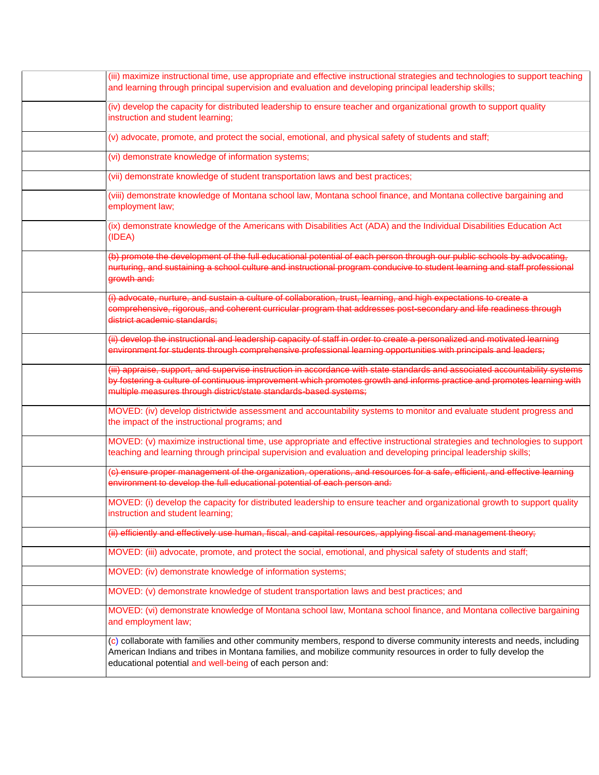| (iii) maximize instructional time, use appropriate and effective instructional strategies and technologies to support teaching<br>and learning through principal supervision and evaluation and developing principal leadership skills;                                                                                    |
|----------------------------------------------------------------------------------------------------------------------------------------------------------------------------------------------------------------------------------------------------------------------------------------------------------------------------|
| (iv) develop the capacity for distributed leadership to ensure teacher and organizational growth to support quality<br>instruction and student learning;                                                                                                                                                                   |
| (v) advocate, promote, and protect the social, emotional, and physical safety of students and staff;                                                                                                                                                                                                                       |
| (vi) demonstrate knowledge of information systems;                                                                                                                                                                                                                                                                         |
| (vii) demonstrate knowledge of student transportation laws and best practices;                                                                                                                                                                                                                                             |
| (viii) demonstrate knowledge of Montana school law, Montana school finance, and Montana collective bargaining and<br>employment law;                                                                                                                                                                                       |
| (ix) demonstrate knowledge of the Americans with Disabilities Act (ADA) and the Individual Disabilities Education Act<br>(IDEA)                                                                                                                                                                                            |
| (b) promote the development of the full educational potential of each person through our public schools by advocating.<br>nurturing, and sustaining a school culture and instructional program conducive to student learning and staff professional<br>growth and:                                                         |
| (i) advocate, nurture, and sustain a culture of collaboration, trust, learning, and high expectations to create a<br>comprehensive, rigorous, and coherent curricular program that addresses post-secondary and life readiness through<br>district academic standards;                                                     |
| (ii) develop the instructional and leadership capacity of staff in order to create a personalized and motivated learning<br>environment for students through comprehensive professional learning opportunities with principals and leaders;                                                                                |
| (iii) appraise, support, and supervise instruction in accordance with state standards and associated accountability systems<br>by fostering a culture of continuous improvement which promotes growth and informs practice and promotes learning with<br>multiple measures through district/state standards-based systems; |
| MOVED: (iv) develop districtwide assessment and accountability systems to monitor and evaluate student progress and<br>the impact of the instructional programs; and                                                                                                                                                       |
| MOVED: (v) maximize instructional time, use appropriate and effective instructional strategies and technologies to support<br>teaching and learning through principal supervision and evaluation and developing principal leadership skills;                                                                               |
| (c) ensure proper management of the organization, operations, and resources for a safe, efficient, and effective learning<br>environment to develop the full educational potential of each person and:                                                                                                                     |
| MOVED: (i) develop the capacity for distributed leadership to ensure teacher and organizational growth to support quality<br>instruction and student learning;                                                                                                                                                             |
| (ii) efficiently and effectively use human, fiscal, and capital resources, applying fiscal and management theory;                                                                                                                                                                                                          |
| MOVED: (iii) advocate, promote, and protect the social, emotional, and physical safety of students and staff;                                                                                                                                                                                                              |
| MOVED: (iv) demonstrate knowledge of information systems;                                                                                                                                                                                                                                                                  |
| MOVED: (v) demonstrate knowledge of student transportation laws and best practices; and                                                                                                                                                                                                                                    |
| MOVED: (vi) demonstrate knowledge of Montana school law, Montana school finance, and Montana collective bargaining<br>and employment law;                                                                                                                                                                                  |
| (c) collaborate with families and other community members, respond to diverse community interests and needs, including<br>American Indians and tribes in Montana families, and mobilize community resources in order to fully develop the<br>educational potential and well-being of each person and:                      |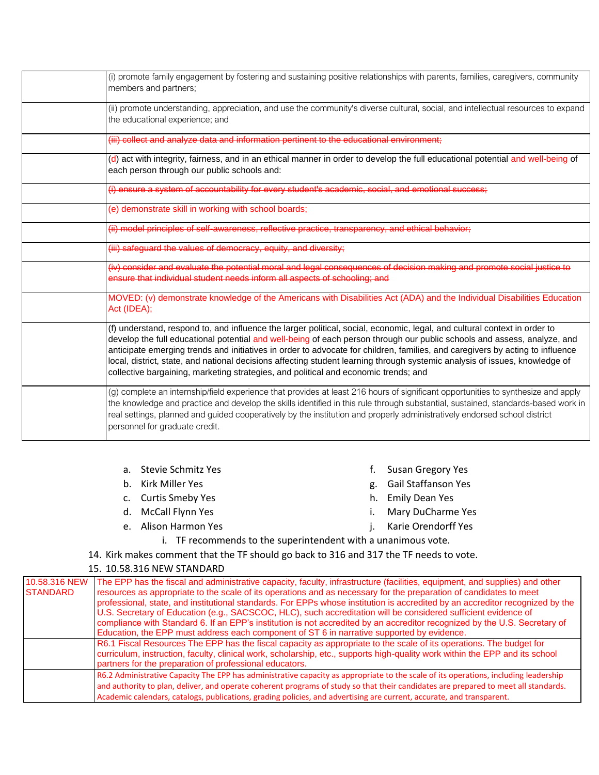| (i) promote family engagement by fostering and sustaining positive relationships with parents, families, caregivers, community<br>members and partners;                                                                                                                                                                                                                                                                                                                                                                                                                                                      |
|--------------------------------------------------------------------------------------------------------------------------------------------------------------------------------------------------------------------------------------------------------------------------------------------------------------------------------------------------------------------------------------------------------------------------------------------------------------------------------------------------------------------------------------------------------------------------------------------------------------|
| (ii) promote understanding, appreciation, and use the community's diverse cultural, social, and intellectual resources to expand<br>the educational experience; and                                                                                                                                                                                                                                                                                                                                                                                                                                          |
| (iii) collect and analyze data and information pertinent to the educational environment:                                                                                                                                                                                                                                                                                                                                                                                                                                                                                                                     |
| (d) act with integrity, fairness, and in an ethical manner in order to develop the full educational potential and well-being of<br>each person through our public schools and:                                                                                                                                                                                                                                                                                                                                                                                                                               |
| (i) ensure a system of accountability for every student's academic, social, and emotional success;                                                                                                                                                                                                                                                                                                                                                                                                                                                                                                           |
| (e) demonstrate skill in working with school boards;                                                                                                                                                                                                                                                                                                                                                                                                                                                                                                                                                         |
| (ii) model principles of self-awareness, reflective practice, transparency, and ethical behavior;                                                                                                                                                                                                                                                                                                                                                                                                                                                                                                            |
| (iii) safequard the values of democracy, equity, and diversity:                                                                                                                                                                                                                                                                                                                                                                                                                                                                                                                                              |
| (iv) consider and evaluate the potential moral and legal consequences of decision making and promote social justice to<br>ensure that individual student needs inform all aspects of schooling: and                                                                                                                                                                                                                                                                                                                                                                                                          |
| MOVED: (v) demonstrate knowledge of the Americans with Disabilities Act (ADA) and the Individual Disabilities Education<br>Act (IDEA);                                                                                                                                                                                                                                                                                                                                                                                                                                                                       |
| (f) understand, respond to, and influence the larger political, social, economic, legal, and cultural context in order to<br>develop the full educational potential and well-being of each person through our public schools and assess, analyze, and<br>anticipate emerging trends and initiatives in order to advocate for children, families, and caregivers by acting to influence<br>local, district, state, and national decisions affecting student learning through systemic analysis of issues, knowledge of<br>collective bargaining, marketing strategies, and political and economic trends; and |
| (g) complete an internship/field experience that provides at least 216 hours of significant opportunities to synthesize and apply<br>the knowledge and practice and develop the skills identified in this rule through substantial, sustained, standards-based work in<br>real settings, planned and guided cooperatively by the institution and properly administratively endorsed school district<br>personnel for graduate credit.                                                                                                                                                                        |

- a. Stevie Schmitz Yes
- b. Kirk Miller Yes
- c. Curtis Smeby Yes
- d. McCall Flynn Yes
- e. Alison Harmon Yes
- f. Susan Gregory Yes
- g. Gail Staffanson Yes
- h. Emily Dean Yes
- i. Mary DuCharme Yes
- j. Karie Orendorff Yes
- i. TF recommends to the superintendent with a unanimous vote.
- 14. Kirk makes comment that the TF should go back to 316 and 317 the TF needs to vote.

#### 15. 10.58.316 NEW STANDARD

| 10.58.316 NEW<br><b>STANDARD</b> | The EPP has the fiscal and administrative capacity, faculty, infrastructure (facilities, equipment, and supplies) and other<br>resources as appropriate to the scale of its operations and as necessary for the preparation of candidates to meet<br>professional, state, and institutional standards. For EPPs whose institution is accredited by an accreditor recognized by the<br>U.S. Secretary of Education (e.g., SACSCOC, HLC), such accreditation will be considered sufficient evidence of<br>compliance with Standard 6. If an EPP's institution is not accredited by an accreditor recognized by the U.S. Secretary of<br>Education, the EPP must address each component of ST 6 in narrative supported by evidence. |
|----------------------------------|----------------------------------------------------------------------------------------------------------------------------------------------------------------------------------------------------------------------------------------------------------------------------------------------------------------------------------------------------------------------------------------------------------------------------------------------------------------------------------------------------------------------------------------------------------------------------------------------------------------------------------------------------------------------------------------------------------------------------------|
|                                  | R6.1 Fiscal Resources The EPP has the fiscal capacity as appropriate to the scale of its operations. The budget for<br>curriculum, instruction, faculty, clinical work, scholarship, etc., supports high-quality work within the EPP and its school<br>partners for the preparation of professional educators.                                                                                                                                                                                                                                                                                                                                                                                                                   |
|                                  | R6.2 Administrative Capacity The EPP has administrative capacity as appropriate to the scale of its operations, including leadership<br>and authority to plan, deliver, and operate coherent programs of study so that their candidates are prepared to meet all standards.<br>Academic calendars, catalogs, publications, grading policies, and advertising are current, accurate, and transparent.                                                                                                                                                                                                                                                                                                                             |